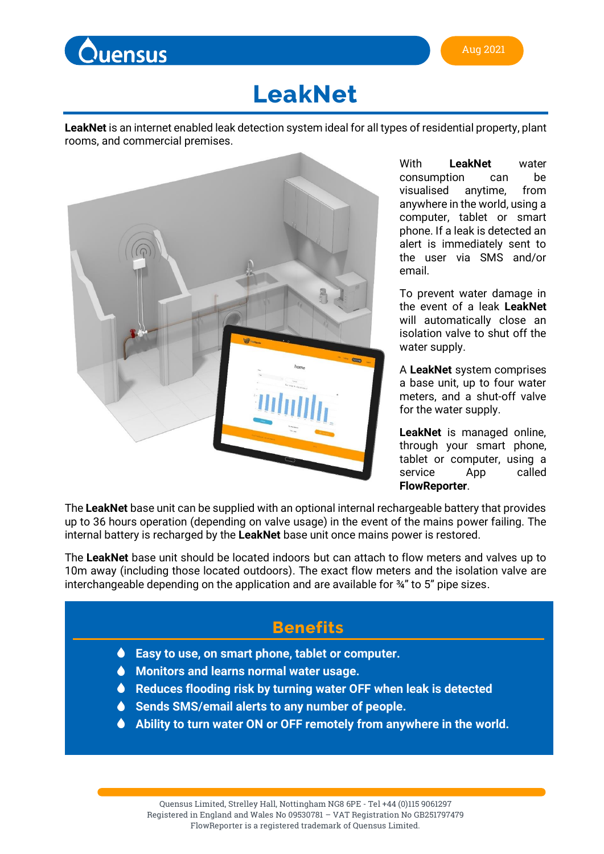

# **LeakNet**

**LeakNet** is an internet enabled leak detection system ideal for all types of residential property, plant rooms, and commercial premises.



With **LeakNet** water consumption can be visualised anytime, from anywhere in the world, using a computer, tablet or smart phone. If a leak is detected an alert is immediately sent to the user via SMS and/or email.

To prevent water damage in the event of a leak **LeakNet** will automatically close an isolation valve to shut off the water supply.

A **LeakNet** system comprises a base unit, up to four water meters, and a shut-off valve for the water supply.

**LeakNet** is managed online, through your smart phone, tablet or computer, using a service App called **FlowReporter**.

The **LeakNet** base unit can be supplied with an optional internal rechargeable battery that provides up to 36 hours operation (depending on valve usage) in the event of the mains power failing. The internal battery is recharged by the **LeakNet** base unit once mains power is restored.

The **LeakNet** base unit should be located indoors but can attach to flow meters and valves up to 10m away (including those located outdoors). The exact flow meters and the isolation valve are interchangeable depending on the application and are available for ¾" to 5" pipe sizes.

# **Benefits**

- **Easy to use, on smart phone, tablet or computer.**
- **Monitors and learns normal water usage.**
- **Reduces flooding risk by turning water OFF when leak is detected**
- **Sends SMS/email alerts to any number of people.**
- **Ability to turn water ON or OFF remotely from anywhere in the world.**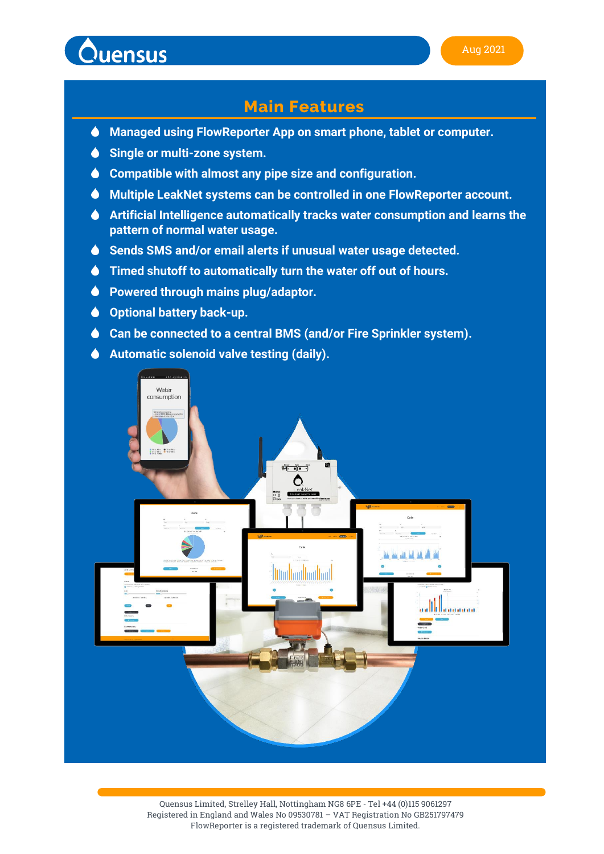

# **Main Features**

- **Managed using FlowReporter App on smart phone, tablet or computer.**
- $\bullet$ **Single or multi-zone system.**
- **Compatible with almost any pipe size and configuration.**
- **Multiple LeakNet systems can be controlled in one FlowReporter account.**
- **Artificial Intelligence automatically tracks water consumption and learns the pattern of normal water usage.**
- **Sends SMS and/or email alerts if unusual water usage detected.**
- **Timed shutoff to automatically turn the water off out of hours.**
- **Powered through mains plug/adaptor.**  $\bullet$
- **Optional battery back-up.**
- **Can be connected to a central BMS (and/or Fire Sprinkler system).**
- **Automatic solenoid valve testing (daily).**

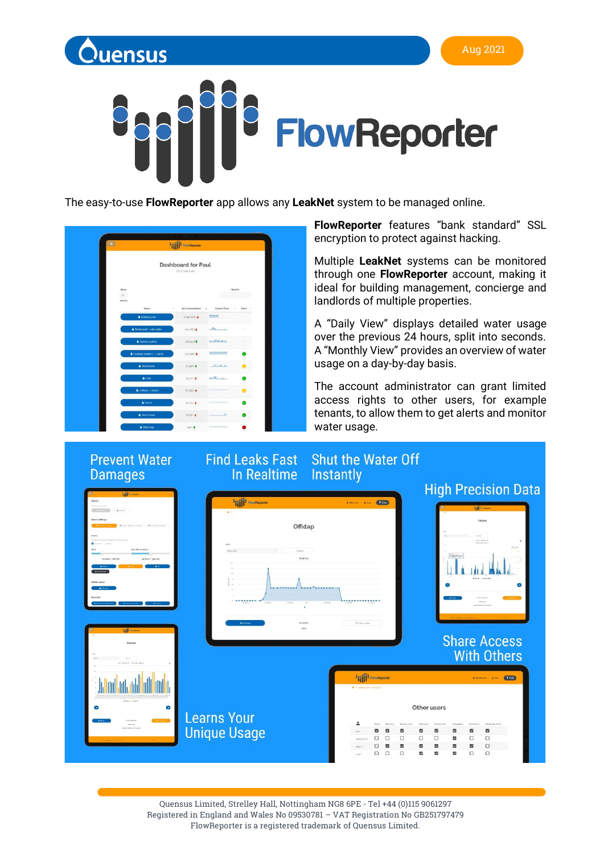

#### Aug 2021



The easy-to-use **FlowReporter** app allows any **LeakNet** system to be managed online.

|                            | <b>FISHER FlowReporter</b>                |                 |         |  |  |  |
|----------------------------|-------------------------------------------|-----------------|---------|--|--|--|
|                            | <b>Dashboard for Paul</b><br>Your Devices |                 |         |  |  |  |
| Show<br>$10 -$<br>entries  |                                           |                 | Search: |  |  |  |
| Name                       | July Consumption<br>٠                     | Current Flow    | Valve : |  |  |  |
| Holiday park               | 2.090.3201                                |                 |         |  |  |  |
| Flestaurant - cold water   | 251.1051                                  | Am              |         |  |  |  |
| Service station            | 148.95314                                 | <b>WWW.A.A.</b> |         |  |  |  |
| Football stadium - 1 stand | 130.0081                                  |                 |         |  |  |  |
| · Warehouse                | 67.508 ( \$                               | what            |         |  |  |  |
| $\triangle$ Cafe           | 242271                                    | ALM             |         |  |  |  |
| School - 1 block           | 20,300   +                                |                 |         |  |  |  |
| A Home                     | $12.7731 +$                               |                 |         |  |  |  |
| <b>&amp; Dans house</b>    | 6,6001                                    |                 |         |  |  |  |
| <b>&amp;</b> Office tap    | 00614                                     |                 |         |  |  |  |

**FlowReporter** features "bank standard" SSL encryption to protect against hacking.

Multiple **LeakNet** systems can be monitored through one **FlowReporter** account, making it ideal for building management, concierge and landlords of multiple properties.

A "Daily View" displays detailed water usage over the previous 24 hours, split into seconds. A "Monthly View" provides an overview of water usage on a day-by-day basis.

The account administrator can grant limited access rights to other users, for example tenants, to allow them to get alerts and monitor water usage.



Quensus Limited, Strelley Hall, Nottingham NG8 6PE - Tel +44 (0)115 9061297 Registered in England and Wales No 09530781 – VAT Registration No GB251797479 FlowReporter is a registered trademark of Quensus Limited.